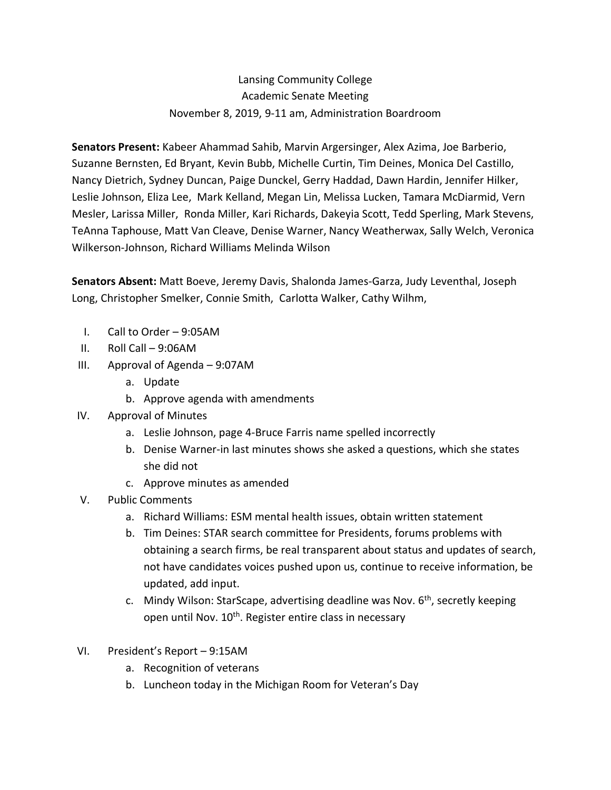## Lansing Community College Academic Senate Meeting November 8, 2019, 9-11 am, Administration Boardroom

**Senators Present:** Kabeer Ahammad Sahib, Marvin Argersinger, Alex Azima, Joe Barberio, Suzanne Bernsten, Ed Bryant, Kevin Bubb, Michelle Curtin, Tim Deines, Monica Del Castillo, Nancy Dietrich, Sydney Duncan, Paige Dunckel, Gerry Haddad, Dawn Hardin, Jennifer Hilker, Leslie Johnson, Eliza Lee, Mark Kelland, Megan Lin, Melissa Lucken, Tamara McDiarmid, Vern Mesler, Larissa Miller, Ronda Miller, Kari Richards, Dakeyia Scott, Tedd Sperling, Mark Stevens, TeAnna Taphouse, Matt Van Cleave, Denise Warner, Nancy Weatherwax, Sally Welch, Veronica Wilkerson-Johnson, Richard Williams Melinda Wilson

**Senators Absent:** Matt Boeve, Jeremy Davis, Shalonda James-Garza, Judy Leventhal, Joseph Long, Christopher Smelker, Connie Smith, Carlotta Walker, Cathy Wilhm,

- I. Call to Order 9:05AM
- II. Roll Call 9:06AM
- III. Approval of Agenda 9:07AM
	- a. Update
	- b. Approve agenda with amendments
- IV. Approval of Minutes
	- a. Leslie Johnson, page 4-Bruce Farris name spelled incorrectly
	- b. Denise Warner-in last minutes shows she asked a questions, which she states she did not
	- c. Approve minutes as amended
- V. Public Comments
	- a. Richard Williams: ESM mental health issues, obtain written statement
	- b. Tim Deines: STAR search committee for Presidents, forums problems with obtaining a search firms, be real transparent about status and updates of search, not have candidates voices pushed upon us, continue to receive information, be updated, add input.
	- c. Mindy Wilson: StarScape, advertising deadline was Nov.  $6<sup>th</sup>$ , secretly keeping open until Nov. 10<sup>th</sup>. Register entire class in necessary
- VI. President's Report 9:15AM
	- a. Recognition of veterans
	- b. Luncheon today in the Michigan Room for Veteran's Day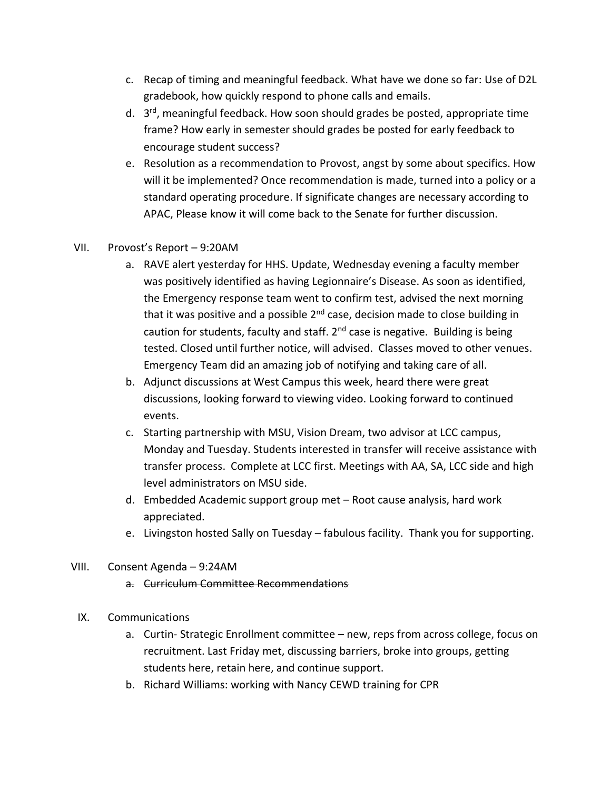- c. Recap of timing and meaningful feedback. What have we done so far: Use of D2L gradebook, how quickly respond to phone calls and emails.
- d. 3<sup>rd</sup>, meaningful feedback. How soon should grades be posted, appropriate time frame? How early in semester should grades be posted for early feedback to encourage student success?
- e. Resolution as a recommendation to Provost, angst by some about specifics. How will it be implemented? Once recommendation is made, turned into a policy or a standard operating procedure. If significate changes are necessary according to APAC, Please know it will come back to the Senate for further discussion.
- VII. Provost's Report 9:20AM
	- a. RAVE alert yesterday for HHS. Update, Wednesday evening a faculty member was positively identified as having Legionnaire's Disease. As soon as identified, the Emergency response team went to confirm test, advised the next morning that it was positive and a possible  $2<sup>nd</sup>$  case, decision made to close building in caution for students, faculty and staff.  $2<sup>nd</sup>$  case is negative. Building is being tested. Closed until further notice, will advised. Classes moved to other venues. Emergency Team did an amazing job of notifying and taking care of all.
	- b. Adjunct discussions at West Campus this week, heard there were great discussions, looking forward to viewing video. Looking forward to continued events.
	- c. Starting partnership with MSU, Vision Dream, two advisor at LCC campus, Monday and Tuesday. Students interested in transfer will receive assistance with transfer process. Complete at LCC first. Meetings with AA, SA, LCC side and high level administrators on MSU side.
	- d. Embedded Academic support group met Root cause analysis, hard work appreciated.
	- e. Livingston hosted Sally on Tuesday fabulous facility. Thank you for supporting.
- VIII. Consent Agenda 9:24AM
	- a. Curriculum Committee Recommendations
	- IX. Communications
		- a. Curtin- Strategic Enrollment committee new, reps from across college, focus on recruitment. Last Friday met, discussing barriers, broke into groups, getting students here, retain here, and continue support.
		- b. Richard Williams: working with Nancy CEWD training for CPR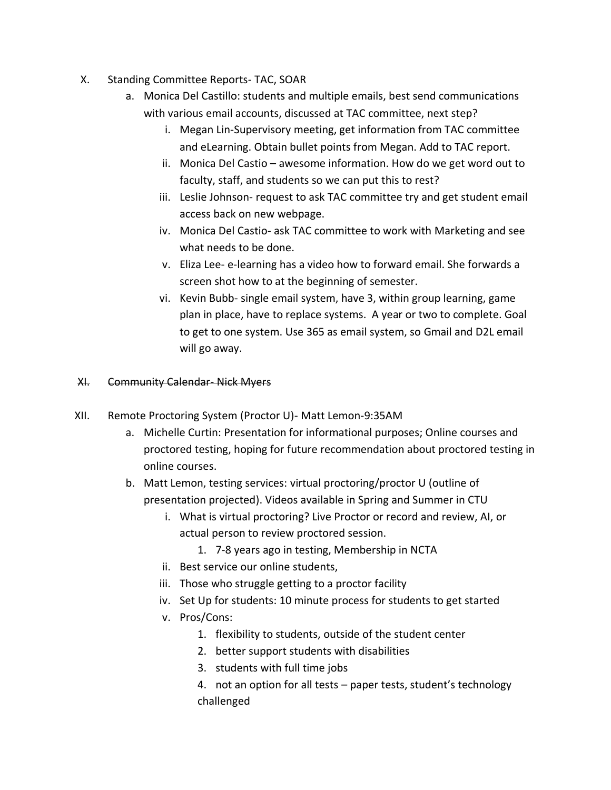- X. Standing Committee Reports- TAC, SOAR
	- a. Monica Del Castillo: students and multiple emails, best send communications with various email accounts, discussed at TAC committee, next step?
		- i. Megan Lin-Supervisory meeting, get information from TAC committee and eLearning. Obtain bullet points from Megan. Add to TAC report.
		- ii. Monica Del Castio awesome information. How do we get word out to faculty, staff, and students so we can put this to rest?
		- iii. Leslie Johnson- request to ask TAC committee try and get student email access back on new webpage.
		- iv. Monica Del Castio- ask TAC committee to work with Marketing and see what needs to be done.
		- v. Eliza Lee- e-learning has a video how to forward email. She forwards a screen shot how to at the beginning of semester.
		- vi. Kevin Bubb- single email system, have 3, within group learning, game plan in place, have to replace systems. A year or two to complete. Goal to get to one system. Use 365 as email system, so Gmail and D2L email will go away.

## XI. Community Calendar- Nick Myers

- XII. Remote Proctoring System (Proctor U)- Matt Lemon-9:35AM
	- a. Michelle Curtin: Presentation for informational purposes; Online courses and proctored testing, hoping for future recommendation about proctored testing in online courses.
	- b. Matt Lemon, testing services: virtual proctoring/proctor U (outline of presentation projected). Videos available in Spring and Summer in CTU
		- i. What is virtual proctoring? Live Proctor or record and review, AI, or actual person to review proctored session.
			- 1. 7-8 years ago in testing, Membership in NCTA
		- ii. Best service our online students,
		- iii. Those who struggle getting to a proctor facility
		- iv. Set Up for students: 10 minute process for students to get started
		- v. Pros/Cons:
			- 1. flexibility to students, outside of the student center
			- 2. better support students with disabilities
			- 3. students with full time jobs
			- 4. not an option for all tests paper tests, student's technology challenged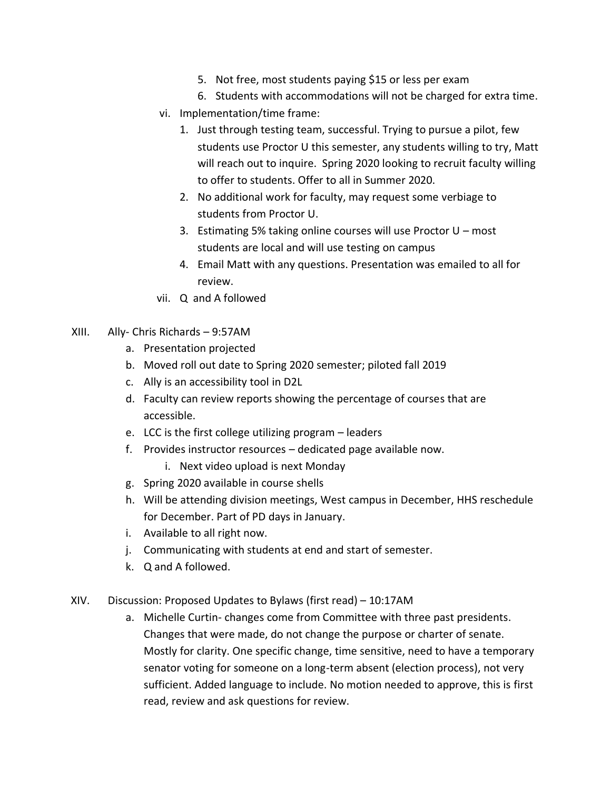- 5. Not free, most students paying \$15 or less per exam
- 6. Students with accommodations will not be charged for extra time.
- vi. Implementation/time frame:
	- 1. Just through testing team, successful. Trying to pursue a pilot, few students use Proctor U this semester, any students willing to try, Matt will reach out to inquire. Spring 2020 looking to recruit faculty willing to offer to students. Offer to all in Summer 2020.
	- 2. No additional work for faculty, may request some verbiage to students from Proctor U.
	- 3. Estimating 5% taking online courses will use Proctor U most students are local and will use testing on campus
	- 4. Email Matt with any questions. Presentation was emailed to all for review.
- vii. Q and A followed
- XIII. Ally- Chris Richards 9:57AM
	- a. Presentation projected
	- b. Moved roll out date to Spring 2020 semester; piloted fall 2019
	- c. Ally is an accessibility tool in D2L
	- d. Faculty can review reports showing the percentage of courses that are accessible.
	- e. LCC is the first college utilizing program leaders
	- f. Provides instructor resources dedicated page available now.
		- i. Next video upload is next Monday
	- g. Spring 2020 available in course shells
	- h. Will be attending division meetings, West campus in December, HHS reschedule for December. Part of PD days in January.
	- i. Available to all right now.
	- j. Communicating with students at end and start of semester.
	- k. Q and A followed.
- XIV. Discussion: Proposed Updates to Bylaws (first read) 10:17AM
	- a. Michelle Curtin- changes come from Committee with three past presidents. Changes that were made, do not change the purpose or charter of senate. Mostly for clarity. One specific change, time sensitive, need to have a temporary senator voting for someone on a long-term absent (election process), not very sufficient. Added language to include. No motion needed to approve, this is first read, review and ask questions for review.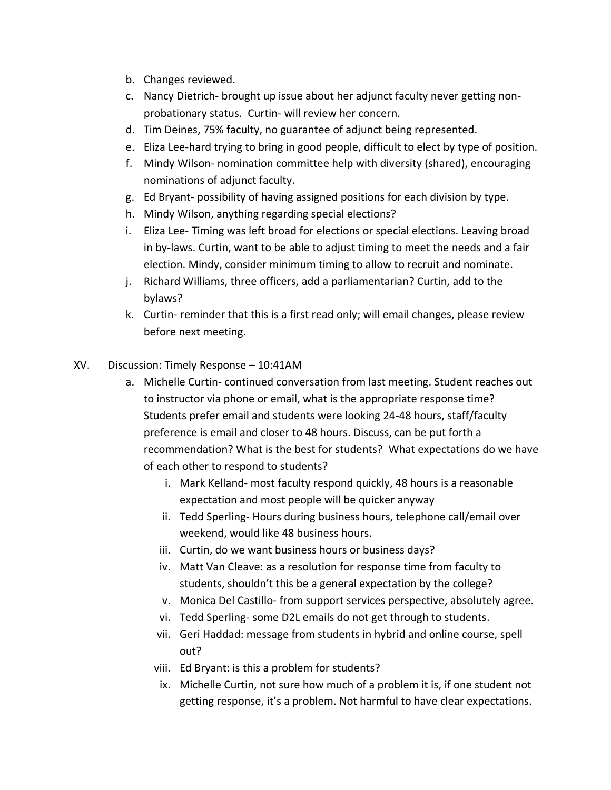- b. Changes reviewed.
- c. Nancy Dietrich- brought up issue about her adjunct faculty never getting nonprobationary status. Curtin- will review her concern.
- d. Tim Deines, 75% faculty, no guarantee of adjunct being represented.
- e. Eliza Lee-hard trying to bring in good people, difficult to elect by type of position.
- f. Mindy Wilson- nomination committee help with diversity (shared), encouraging nominations of adjunct faculty.
- g. Ed Bryant- possibility of having assigned positions for each division by type.
- h. Mindy Wilson, anything regarding special elections?
- i. Eliza Lee- Timing was left broad for elections or special elections. Leaving broad in by-laws. Curtin, want to be able to adjust timing to meet the needs and a fair election. Mindy, consider minimum timing to allow to recruit and nominate.
- j. Richard Williams, three officers, add a parliamentarian? Curtin, add to the bylaws?
- k. Curtin- reminder that this is a first read only; will email changes, please review before next meeting.

## XV. Discussion: Timely Response – 10:41AM

- a. Michelle Curtin- continued conversation from last meeting. Student reaches out to instructor via phone or email, what is the appropriate response time? Students prefer email and students were looking 24-48 hours, staff/faculty preference is email and closer to 48 hours. Discuss, can be put forth a recommendation? What is the best for students? What expectations do we have of each other to respond to students?
	- i. Mark Kelland- most faculty respond quickly, 48 hours is a reasonable expectation and most people will be quicker anyway
	- ii. Tedd Sperling- Hours during business hours, telephone call/email over weekend, would like 48 business hours.
	- iii. Curtin, do we want business hours or business days?
	- iv. Matt Van Cleave: as a resolution for response time from faculty to students, shouldn't this be a general expectation by the college?
	- v. Monica Del Castillo- from support services perspective, absolutely agree.
	- vi. Tedd Sperling- some D2L emails do not get through to students.
	- vii. Geri Haddad: message from students in hybrid and online course, spell out?
	- viii. Ed Bryant: is this a problem for students?
	- ix. Michelle Curtin, not sure how much of a problem it is, if one student not getting response, it's a problem. Not harmful to have clear expectations.